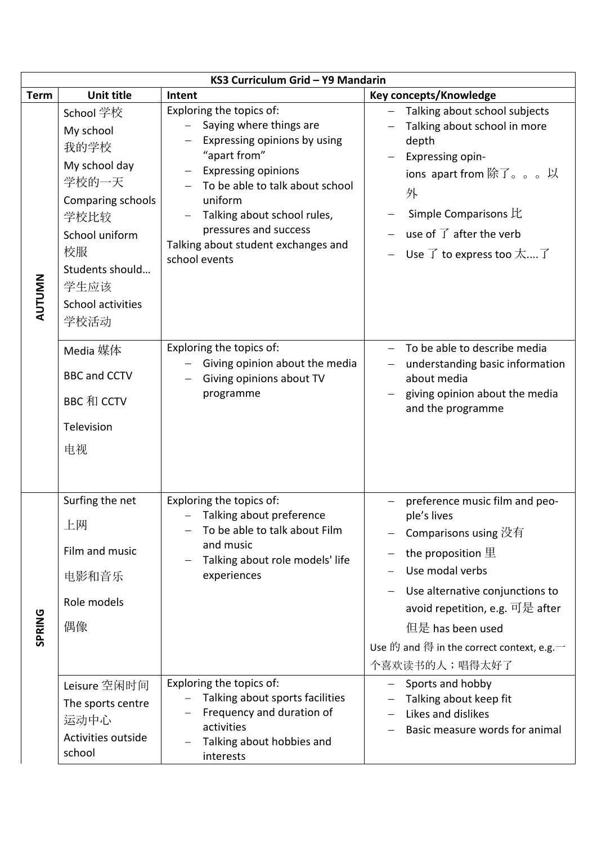| KS3 Curriculum Grid - Y9 Mandarin |                                                                                                                                                                       |                                                                                                                                                                                                                                                                                                                             |                                                                                                                                                                                                                                                                                             |  |
|-----------------------------------|-----------------------------------------------------------------------------------------------------------------------------------------------------------------------|-----------------------------------------------------------------------------------------------------------------------------------------------------------------------------------------------------------------------------------------------------------------------------------------------------------------------------|---------------------------------------------------------------------------------------------------------------------------------------------------------------------------------------------------------------------------------------------------------------------------------------------|--|
| <b>Term</b>                       | <b>Unit title</b>                                                                                                                                                     | Intent                                                                                                                                                                                                                                                                                                                      | Key concepts/Knowledge                                                                                                                                                                                                                                                                      |  |
| <b>AUTUMN</b>                     | School 学校<br>My school<br>我的学校<br>My school day<br>学校的一天<br>Comparing schools<br>学校比较<br>School uniform<br>校服<br>Students should<br>学生应该<br>School activities<br>学校活动 | Exploring the topics of:<br>Saying where things are<br>Expressing opinions by using<br>"apart from"<br><b>Expressing opinions</b><br>$\overline{\phantom{0}}$<br>To be able to talk about school<br>uniform<br>Talking about school rules,<br>pressures and success<br>Talking about student exchanges and<br>school events | Talking about school subjects<br>Talking about school in more<br>depth<br>Expressing opin-<br>ions apart from 除了。。。以<br>外<br>Simple Comparisons 比<br>use of $\overrightarrow{J}$ after the verb<br>Use $\overrightarrow{I}$ to express too $\overrightarrow{X}$ $\overrightarrow{I}$        |  |
|                                   | Media 媒体<br><b>BBC and CCTV</b><br>BBC 和 CCTV<br>Television<br>电视                                                                                                     | Exploring the topics of:<br>Giving opinion about the media<br>Giving opinions about TV<br>programme                                                                                                                                                                                                                         | To be able to describe media<br>understanding basic information<br>$\overline{\phantom{m}}$<br>about media<br>giving opinion about the media<br>and the programme                                                                                                                           |  |
| SPRING                            | Surfing the net<br>上网<br>Film and music<br>电影和音乐<br>Role models<br>偶像                                                                                                 | Exploring the topics of:<br>Talking about preference<br>To be able to talk about Film<br>and music<br>Talking about role models' life<br>experiences                                                                                                                                                                        | preference music film and peo-<br>ple's lives<br>Comparisons using 没有<br>the proposition $\underline{\mathbb{E}}$<br>Use modal verbs<br>Use alternative conjunctions to<br>avoid repetition, e.g. 可是 after<br>但是 has been used<br>Use 的 and 得 in the correct context, e.g.<br>个喜欢读书的人;唱得太好了 |  |
|                                   | Leisure 空闲时间<br>The sports centre<br>运动中心<br>Activities outside<br>school                                                                                             | Exploring the topics of:<br>Talking about sports facilities<br>Frequency and duration of<br>activities<br>Talking about hobbies and<br>$\overline{\phantom{0}}$<br>interests                                                                                                                                                | Sports and hobby<br>Talking about keep fit<br>Likes and dislikes<br>Basic measure words for animal                                                                                                                                                                                          |  |